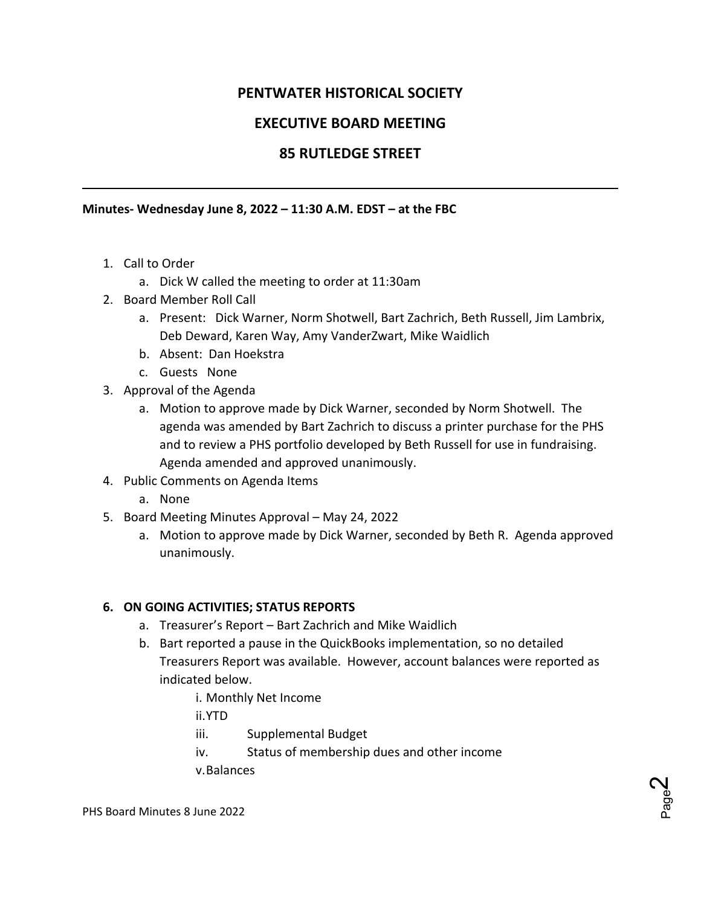# **PENTWATER HISTORICAL SOCIETY**

## **EXECUTIVE BOARD MEETING**

## **85 RUTLEDGE STREET**

#### **Minutes- Wednesday June 8, 2022 – 11:30 A.M. EDST – at the FBC**

- 1. Call to Order
	- a. Dick W called the meeting to order at 11:30am
- 2. Board Member Roll Call
	- a. Present: Dick Warner, Norm Shotwell, Bart Zachrich, Beth Russell, Jim Lambrix, Deb Deward, Karen Way, Amy VanderZwart, Mike Waidlich
	- b. Absent: Dan Hoekstra
	- c. Guests None
- 3. Approval of the Agenda
	- a. Motion to approve made by Dick Warner, seconded by Norm Shotwell. The agenda was amended by Bart Zachrich to discuss a printer purchase for the PHS and to review a PHS portfolio developed by Beth Russell for use in fundraising. Agenda amended and approved unanimously.
- 4. Public Comments on Agenda Items
	- a. None
- 5. Board Meeting Minutes Approval May 24, 2022
	- a. Motion to approve made by Dick Warner, seconded by Beth R. Agenda approved unanimously.

### **6. ON GOING ACTIVITIES; STATUS REPORTS**

- a. Treasurer's Report Bart Zachrich and Mike Waidlich
- b. Bart reported a pause in the QuickBooks implementation, so no detailed Treasurers Report was available. However, account balances were reported as indicated below.
	- i. Monthly Net Income

ii.YTD

- iii. Supplemental Budget
- iv. Status of membership dues and other income

v.Balances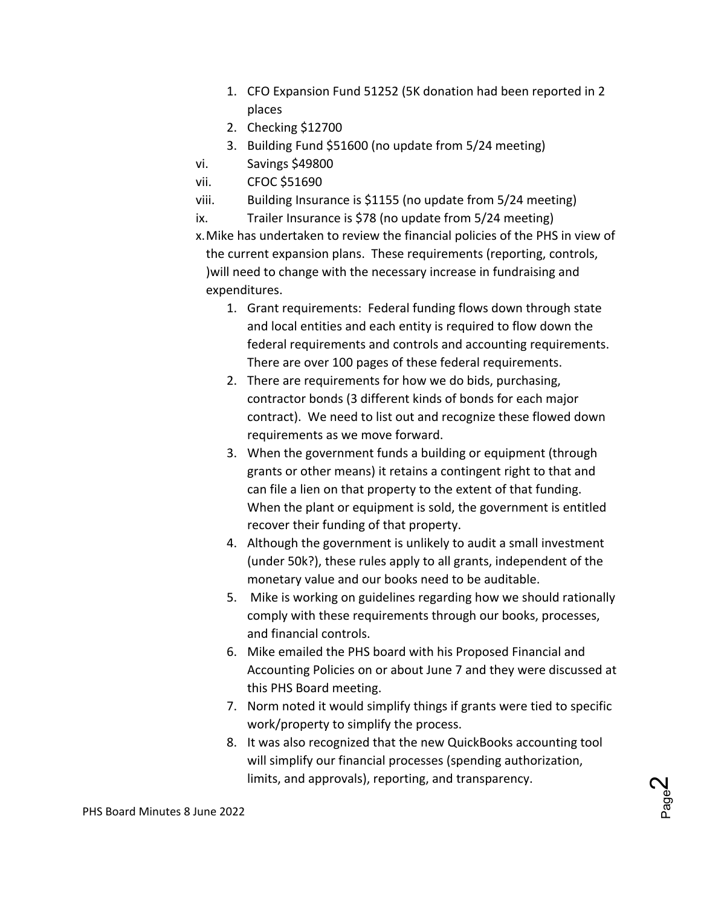- 1. CFO Expansion Fund 51252 (5K donation had been reported in 2 places
- 2. Checking \$12700
- 3. Building Fund \$51600 (no update from 5/24 meeting)
- vi. Savings \$49800
- vii. CFOC \$51690
- viii. Building Insurance is \$1155 (no update from 5/24 meeting)
- ix. Trailer Insurance is \$78 (no update from 5/24 meeting)

x.Mike has undertaken to review the financial policies of the PHS in view of the current expansion plans. These requirements (reporting, controls, )will need to change with the necessary increase in fundraising and expenditures.

- 1. Grant requirements: Federal funding flows down through state and local entities and each entity is required to flow down the federal requirements and controls and accounting requirements. There are over 100 pages of these federal requirements.
- 2. There are requirements for how we do bids, purchasing, contractor bonds (3 different kinds of bonds for each major contract). We need to list out and recognize these flowed down requirements as we move forward.
- 3. When the government funds a building or equipment (through grants or other means) it retains a contingent right to that and can file a lien on that property to the extent of that funding. When the plant or equipment is sold, the government is entitled recover their funding of that property.
- 4. Although the government is unlikely to audit a small investment (under 50k?), these rules apply to all grants, independent of the monetary value and our books need to be auditable.
- 5. Mike is working on guidelines regarding how we should rationally comply with these requirements through our books, processes, and financial controls.
- 6. Mike emailed the PHS board with his Proposed Financial and Accounting Policies on or about June 7 and they were discussed at this PHS Board meeting.
- 7. Norm noted it would simplify things if grants were tied to specific work/property to simplify the process.
- 8. It was also recognized that the new QuickBooks accounting tool will simplify our financial processes (spending authorization, limits, and approvals), reporting, and transparency.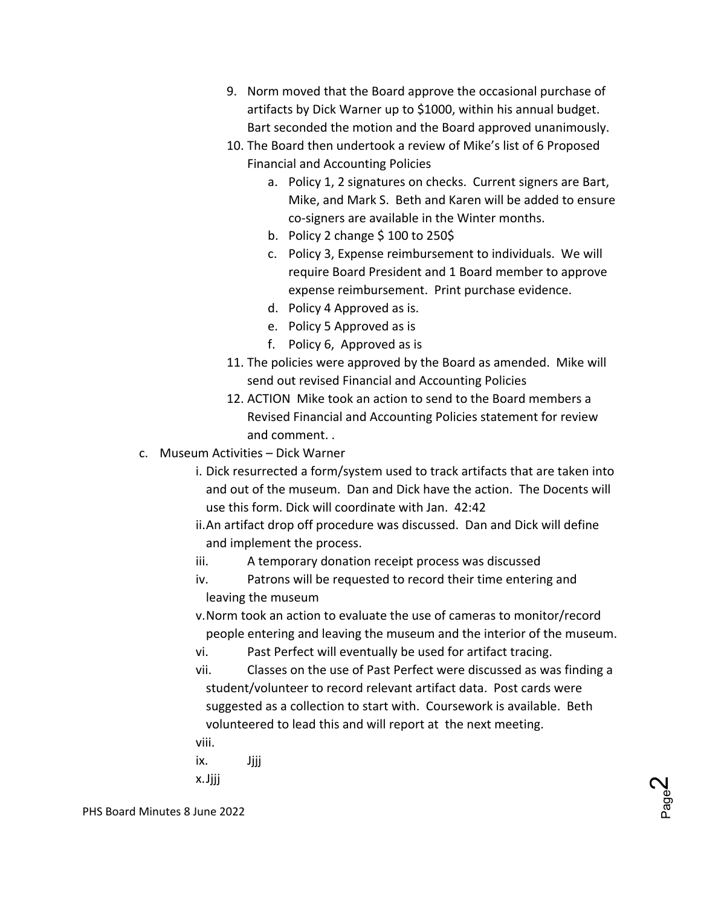- 9. Norm moved that the Board approve the occasional purchase of artifacts by Dick Warner up to \$1000, within his annual budget. Bart seconded the motion and the Board approved unanimously.
- 10. The Board then undertook a review of Mike's list of 6 Proposed Financial and Accounting Policies
	- a. Policy 1, 2 signatures on checks. Current signers are Bart, Mike, and Mark S. Beth and Karen will be added to ensure co-signers are available in the Winter months.
	- b. Policy 2 change \$ 100 to 250\$
	- c. Policy 3, Expense reimbursement to individuals. We will require Board President and 1 Board member to approve expense reimbursement. Print purchase evidence.
	- d. Policy 4 Approved as is.
	- e. Policy 5 Approved as is
	- f. Policy 6, Approved as is
- 11. The policies were approved by the Board as amended. Mike will send out revised Financial and Accounting Policies
- 12. ACTION Mike took an action to send to the Board members a Revised Financial and Accounting Policies statement for review and comment. .
- c. Museum Activities Dick Warner
	- i. Dick resurrected a form/system used to track artifacts that are taken into and out of the museum. Dan and Dick have the action. The Docents will use this form. Dick will coordinate with Jan. 42:42
	- ii.An artifact drop off procedure was discussed. Dan and Dick will define and implement the process.
	- iii. A temporary donation receipt process was discussed
	- iv. Patrons will be requested to record their time entering and leaving the museum
	- v.Norm took an action to evaluate the use of cameras to monitor/record people entering and leaving the museum and the interior of the museum.
	- vi. Past Perfect will eventually be used for artifact tracing.
	- vii. Classes on the use of Past Perfect were discussed as was finding a student/volunteer to record relevant artifact data. Post cards were suggested as a collection to start with. Coursework is available. Beth volunteered to lead this and will report at the next meeting. viii.
	- ix. Jiii x.Jjjj